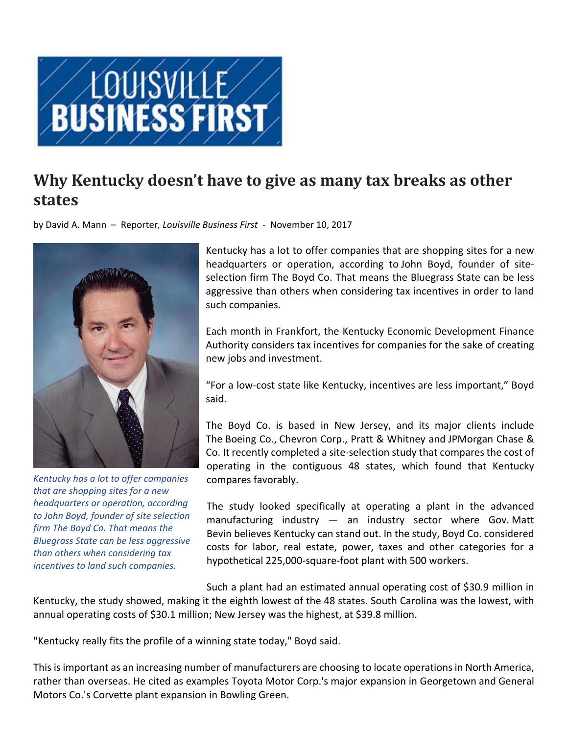

## **Why Kentucky doesn't have to give as many tax breaks as other states**

by David A. Mann – Reporter*, Louisville Business First ‐* November 10, 2017



*Kentucky has a lot to offer companies that are shopping sites for a new headquarters or operation, according to John Boyd, founder of site selection firm The Boyd Co. That means the Bluegrass State can be less aggressive than others when considering tax incentives to land such companies.*

Kentucky has a lot to offer companies that are shopping sites for a new headquarters or operation, according to John Boyd, founder of site‐ selection firm The Boyd Co. That means the Bluegrass State can be less aggressive than others when considering tax incentives in order to land such companies.

Each month in Frankfort, the Kentucky Economic Development Finance Authority considers tax incentives for companies for the sake of creating new jobs and investment.

"For a low‐cost state like Kentucky, incentives are less important," Boyd said.

The Boyd Co. is based in New Jersey, and its major clients include The Boeing Co., Chevron Corp., Pratt & Whitney and JPMorgan Chase & Co. It recently completed a site‐selection study that compares the cost of operating in the contiguous 48 states, which found that Kentucky compares favorably.

The study looked specifically at operating a plant in the advanced manufacturing industry — an industry sector where Gov. Matt Bevin believes Kentucky can stand out. In the study, Boyd Co. considered costs for labor, real estate, power, taxes and other categories for a hypothetical 225,000‐square‐foot plant with 500 workers.

Such a plant had an estimated annual operating cost of \$30.9 million in Kentucky, the study showed, making it the eighth lowest of the 48 states. South Carolina was the lowest, with annual operating costs of \$30.1 million; New Jersey was the highest, at \$39.8 million.

"Kentucky really fits the profile of a winning state today," Boyd said.

This is important as an increasing number of manufacturers are choosing to locate operations in North America, rather than overseas. He cited as examples Toyota Motor Corp.'s major expansion in Georgetown and General Motors Co.'s Corvette plant expansion in Bowling Green.